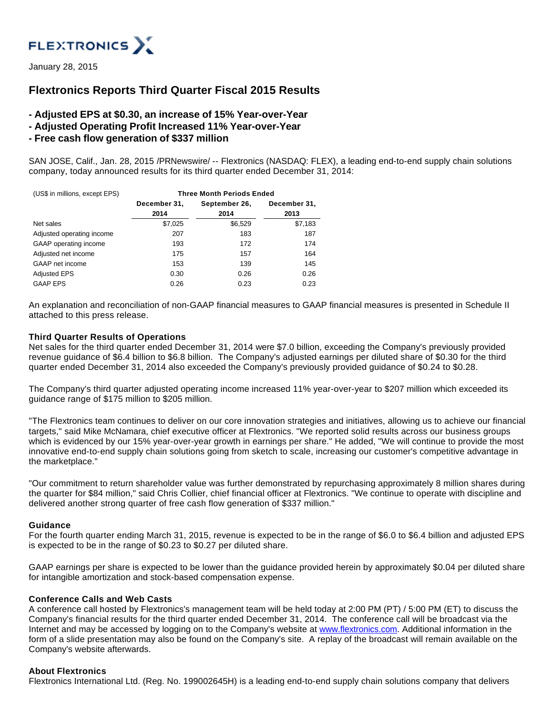

January 28, 2015

# **Flextronics Reports Third Quarter Fiscal 2015 Results**

- **Adjusted EPS at \$0.30, an increase of 15% Year-over-Year**
- **Adjusted Operating Profit Increased 11% Year-over-Year**
- **Free cash flow generation of \$337 million**

SAN JOSE, Calif., Jan. 28, 2015 /PRNewswire/ -- Flextronics (NASDAQ: FLEX), a leading end-to-end supply chain solutions company, today announced results for its third quarter ended December 31, 2014:

| (US\$ in millions, except EPS) | <b>Three Month Periods Ended</b> |               |              |  |
|--------------------------------|----------------------------------|---------------|--------------|--|
|                                | December 31,                     | September 26, | December 31, |  |
|                                | 2014                             | 2014          | 2013         |  |
| Net sales                      | \$7,025                          | \$6,529       | \$7,183      |  |
| Adjusted operating income      | 207                              | 183           | 187          |  |
| GAAP operating income          | 193                              | 172           | 174          |  |
| Adjusted net income            | 175                              | 157           | 164          |  |
| GAAP net income                | 153                              | 139           | 145          |  |
| <b>Adjusted EPS</b>            | 0.30                             | 0.26          | 0.26         |  |
| <b>GAAP EPS</b>                | 0.26                             | 0.23          | 0.23         |  |

An explanation and reconciliation of non-GAAP financial measures to GAAP financial measures is presented in Schedule II attached to this press release.

## **Third Quarter Results of Operations**

Net sales for the third quarter ended December 31, 2014 were \$7.0 billion, exceeding the Company's previously provided revenue guidance of \$6.4 billion to \$6.8 billion. The Company's adjusted earnings per diluted share of \$0.30 for the third quarter ended December 31, 2014 also exceeded the Company's previously provided guidance of \$0.24 to \$0.28.

The Company's third quarter adjusted operating income increased 11% year-over-year to \$207 million which exceeded its guidance range of \$175 million to \$205 million.

"The Flextronics team continues to deliver on our core innovation strategies and initiatives, allowing us to achieve our financial targets," said Mike McNamara, chief executive officer at Flextronics. "We reported solid results across our business groups which is evidenced by our 15% year-over-year growth in earnings per share." He added, "We will continue to provide the most innovative end-to-end supply chain solutions going from sketch to scale, increasing our customer's competitive advantage in the marketplace."

"Our commitment to return shareholder value was further demonstrated by repurchasing approximately 8 million shares during the quarter for \$84 million," said Chris Collier, chief financial officer at Flextronics. "We continue to operate with discipline and delivered another strong quarter of free cash flow generation of \$337 million."

## **Guidance**

For the fourth quarter ending March 31, 2015, revenue is expected to be in the range of \$6.0 to \$6.4 billion and adjusted EPS is expected to be in the range of \$0.23 to \$0.27 per diluted share.

GAAP earnings per share is expected to be lower than the guidance provided herein by approximately \$0.04 per diluted share for intangible amortization and stock-based compensation expense.

## **Conference Calls and Web Casts**

A conference call hosted by Flextronics's management team will be held today at 2:00 PM (PT) / 5:00 PM (ET) to discuss the Company's financial results for the third quarter ended December 31, 2014. The conference call will be broadcast via the Internet and may be accessed by logging on to the Company's website at [www.flextronics.com.](http://www.flextronics.com/) Additional information in the form of a slide presentation may also be found on the Company's site. A replay of the broadcast will remain available on the Company's website afterwards.

## **About Flextronics**

Flextronics International Ltd. (Reg. No. 199002645H) is a leading end-to-end supply chain solutions company that delivers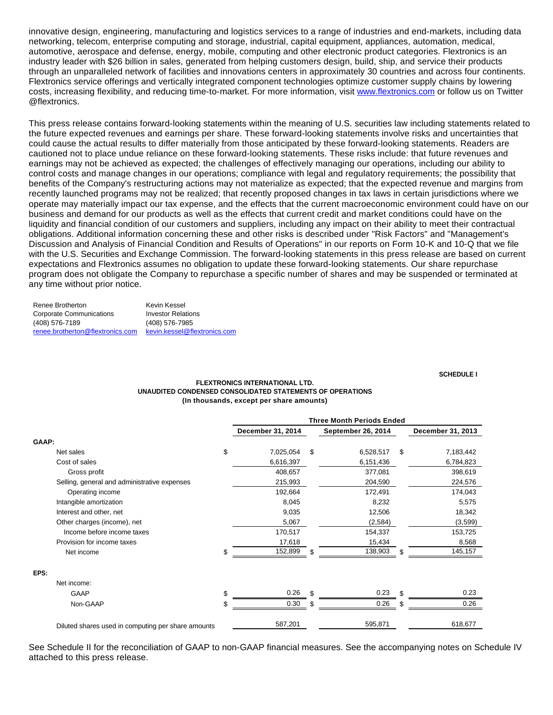innovative design, engineering, manufacturing and logistics services to a range of industries and end-markets, including data networking, telecom, enterprise computing and storage, industrial, capital equipment, appliances, automation, medical, automotive, aerospace and defense, energy, mobile, computing and other electronic product categories. Flextronics is an industry leader with \$26 billion in sales, generated from helping customers design, build, ship, and service their products through an unparalleled network of facilities and innovations centers in approximately 30 countries and across four continents. Flextronics service offerings and vertically integrated component technologies optimize customer supply chains by lowering costs, increasing flexibility, and reducing time-to-market. For more information, visit [www.flextronics.com](http://www.flextronics.com/) or follow us on Twitter @flextronics.

This press release contains forward-looking statements within the meaning of U.S. securities law including statements related to the future expected revenues and earnings per share. These forward-looking statements involve risks and uncertainties that could cause the actual results to differ materially from those anticipated by these forward-looking statements. Readers are cautioned not to place undue reliance on these forward-looking statements. These risks include: that future revenues and earnings may not be achieved as expected; the challenges of effectively managing our operations, including our ability to control costs and manage changes in our operations; compliance with legal and regulatory requirements; the possibility that benefits of the Company's restructuring actions may not materialize as expected; that the expected revenue and margins from recently launched programs may not be realized; that recently proposed changes in tax laws in certain jurisdictions where we operate may materially impact our tax expense, and the effects that the current macroeconomic environment could have on our business and demand for our products as well as the effects that current credit and market conditions could have on the liquidity and financial condition of our customers and suppliers, including any impact on their ability to meet their contractual obligations. Additional information concerning these and other risks is described under "Risk Factors" and "Management's Discussion and Analysis of Financial Condition and Results of Operations" in our reports on Form 10-K and 10-Q that we file with the U.S. Securities and Exchange Commission. The forward-looking statements in this press release are based on current expectations and Flextronics assumes no obligation to update these forward-looking statements. Our share repurchase program does not obligate the Company to repurchase a specific number of shares and may be suspended or terminated at any time without prior notice.

| Renee Brotherton                 | Kevin Kessel                 |
|----------------------------------|------------------------------|
| Corporate Communications         | <b>Investor Relations</b>    |
| (408) 576-7189                   | (408) 576-7985               |
| renee.brotherton@flextronics.com | kevin.kessel@flextronics.com |

#### **SCHEDULE I**

#### **FLEXTRONICS INTERNATIONAL LTD. UNAUDITED CONDENSED CONSOLIDATED STATEMENTS OF OPERATIONS (In thousands, except per share amounts)**

|             |                                                    | <b>Three Month Periods Ended</b> |     |                           |     |                   |
|-------------|----------------------------------------------------|----------------------------------|-----|---------------------------|-----|-------------------|
|             |                                                    | December 31, 2014                |     | <b>September 26, 2014</b> |     | December 31, 2013 |
| GAAP:       |                                                    |                                  |     |                           |     |                   |
| Net sales   |                                                    | \$<br>7,025,054                  | \$  | 6,528,517                 | \$  | 7,183,442         |
|             | Cost of sales                                      | 6,616,397                        |     | 6,151,436                 |     | 6,784,823         |
|             | Gross profit                                       | 408,657                          |     | 377,081                   |     | 398,619           |
|             | Selling, general and administrative expenses       | 215,993                          |     | 204,590                   |     | 224,576           |
|             | Operating income                                   | 192,664                          |     | 172,491                   |     | 174,043           |
|             | Intangible amortization                            | 8,045                            |     | 8,232                     |     | 5,575             |
|             | Interest and other, net                            | 9,035                            |     | 12,506                    |     | 18,342            |
|             | Other charges (income), net                        | 5,067                            |     | (2,584)                   |     | (3,599)           |
|             | Income before income taxes                         | 170,517                          |     | 154,337                   |     | 153,725           |
|             | Provision for income taxes                         | 17,618                           |     | 15,434                    |     | 8,568             |
|             | Net income                                         | \$<br>152,899                    | \$  | 138,903                   | S   | 145,157           |
| EPS:        |                                                    |                                  |     |                           |     |                   |
| Net income: |                                                    |                                  |     |                           |     |                   |
|             | <b>GAAP</b>                                        | \$<br>0.26                       | \$. | 0.23                      | \$. | 0.23              |
|             | Non-GAAP                                           | \$<br>0.30                       | S.  | 0.26                      |     | 0.26              |
|             | Diluted shares used in computing per share amounts | 587,201                          |     | 595,871                   |     | 618,677           |

See Schedule II for the reconciliation of GAAP to non-GAAP financial measures. See the accompanying notes on Schedule IV attached to this press release.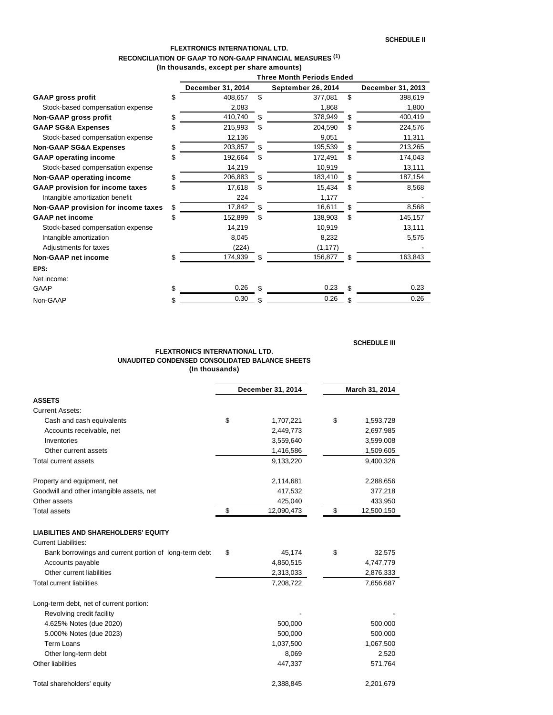### **FLEXTRONICS INTERNATIONAL LTD. RECONCILIATION OF GAAP TO NON-GAAP FINANCIAL MEASURES (1) (In thousands, except per share amounts)**

|                                        |    | <b>Three Month Periods Ended</b> |    |                    |     |                   |
|----------------------------------------|----|----------------------------------|----|--------------------|-----|-------------------|
|                                        |    | December 31, 2014                |    | September 26, 2014 |     | December 31, 2013 |
| <b>GAAP gross profit</b>               | \$ | 408,657                          | \$ | 377,081            | \$  | 398,619           |
| Stock-based compensation expense       |    | 2,083                            |    | 1,868              |     | 1,800             |
| Non-GAAP gross profit                  | \$ | 410,740                          | \$ | 378,949            | \$. | 400,419           |
| <b>GAAP SG&amp;A Expenses</b>          | \$ | 215,993                          | \$ | 204,590            | S   | 224,576           |
| Stock-based compensation expense       |    | 12,136                           |    | 9,051              |     | 11,311            |
| <b>Non-GAAP SG&amp;A Expenses</b>      | \$ | 203,857                          | S  | 195,539            | S.  | 213,265           |
| <b>GAAP</b> operating income           | \$ | 192,664                          | S  | 172,491            | S   | 174,043           |
| Stock-based compensation expense       |    | 14,219                           |    | 10,919             |     | 13,111            |
| Non-GAAP operating income              | \$ | 206,883                          | \$ | 183,410            |     | 187,154           |
| <b>GAAP provision for income taxes</b> |    | 17,618                           | S  | 15,434             | S   | 8,568             |
| Intangible amortization benefit        |    | 224                              |    | 1,177              |     |                   |
| Non-GAAP provision for income taxes    | \$ | 17,842                           | \$ | 16,611             |     | 8,568             |
| <b>GAAP net income</b>                 | \$ | 152,899                          | S  | 138,903            | S.  | 145,157           |
| Stock-based compensation expense       |    | 14,219                           |    | 10,919             |     | 13,111            |
| Intangible amortization                |    | 8,045                            |    | 8,232              |     | 5,575             |
| Adjustments for taxes                  |    | (224)                            |    | (1, 177)           |     |                   |
| Non-GAAP net income                    | \$ | 174,939                          | \$ | 156,877            |     | 163,843           |
| EPS:                                   |    |                                  |    |                    |     |                   |
| Net income:                            |    |                                  |    |                    |     |                   |
| GAAP                                   | \$ | 0.26                             | \$ | 0.23               |     | 0.23              |
| Non-GAAP                               | S  | 0.30                             |    | 0.26               |     | 0.26              |

## **SCHEDULE III**

#### **FLEXTRONICS INTERNATIONAL LTD. UNAUDITED CONDENSED CONSOLIDATED BALANCE SHEETS (In thousands)**

|                                                       | December 31, 2014 |            | March 31, 2014 |            |  |
|-------------------------------------------------------|-------------------|------------|----------------|------------|--|
| <b>ASSETS</b>                                         |                   |            |                |            |  |
| <b>Current Assets:</b>                                |                   |            |                |            |  |
| Cash and cash equivalents                             | \$                | 1,707,221  | \$             | 1,593,728  |  |
| Accounts receivable, net                              |                   | 2,449,773  |                | 2,697,985  |  |
| Inventories                                           |                   | 3,559,640  |                | 3,599,008  |  |
| Other current assets                                  |                   | 1,416,586  |                | 1,509,605  |  |
| <b>Total current assets</b>                           |                   | 9,133,220  |                | 9,400,326  |  |
| Property and equipment, net                           |                   | 2,114,681  |                | 2,288,656  |  |
| Goodwill and other intangible assets, net             |                   | 417,532    |                | 377,218    |  |
| Other assets                                          |                   | 425,040    |                | 433,950    |  |
| <b>Total assets</b>                                   | \$                | 12,090,473 | \$             | 12,500,150 |  |
| <b>LIABILITIES AND SHAREHOLDERS' EQUITY</b>           |                   |            |                |            |  |
| <b>Current Liabilities:</b>                           |                   |            |                |            |  |
| Bank borrowings and current portion of long-term debt | \$                | 45,174     | \$             | 32,575     |  |
| Accounts payable                                      |                   | 4,850,515  |                | 4,747,779  |  |
| Other current liabilities                             |                   | 2,313,033  |                | 2,876,333  |  |
| <b>Total current liabilities</b>                      |                   | 7,208,722  |                | 7,656,687  |  |
| Long-term debt, net of current portion:               |                   |            |                |            |  |
| Revolving credit facility                             |                   |            |                |            |  |
| 4.625% Notes (due 2020)                               |                   | 500,000    |                | 500,000    |  |
| 5.000% Notes (due 2023)                               |                   | 500,000    |                | 500,000    |  |
| Term Loans                                            |                   | 1,037,500  |                | 1,067,500  |  |
| Other long-term debt                                  |                   | 8,069      |                | 2,520      |  |
| Other liabilities                                     |                   | 447,337    |                | 571,764    |  |
| Total shareholders' equity                            |                   | 2,388,845  |                | 2,201,679  |  |